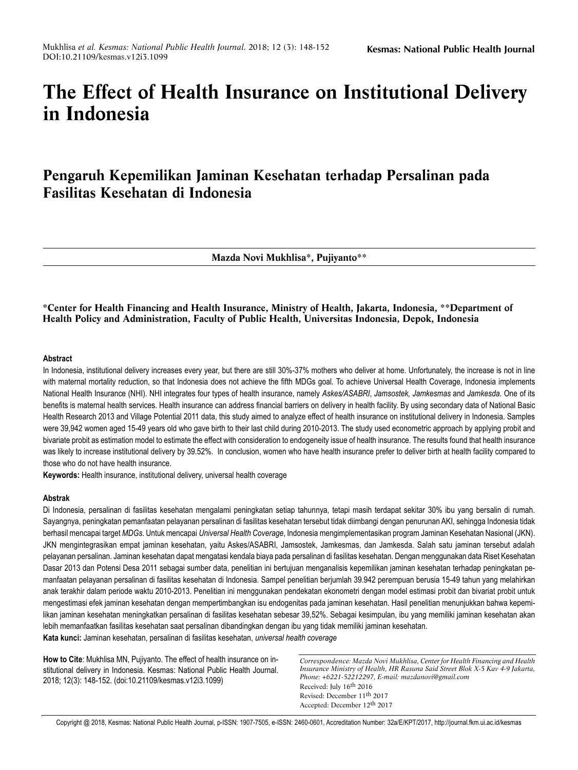# **The Effect of Health Insurance on Institutional Delivery in Indonesia**

# **Pengaruh Kepemilikan Jaminan Kesehatan terhadap Persalinan pada Fasilitas Kesehatan di Indonesia**

**Mazda Novi Mukhlisa\*, Pujiyanto\*\***

**\*Center for Health Financing and Health Insurance, Ministry of Health, Jakarta, Indonesia, \*\*Department of Health Policy and Administration, Faculty of Public Health, Universitas Indonesia, Depok, Indonesia**

# **Abstract**

In Indonesia, institutional delivery increases every year, but there are still 30%-37% mothers who deliver at home. Unfortunately, the increase is not in line with maternal mortality reduction, so that Indonesia does not achieve the fifth MDGs goal. To achieve Universal Health Coverage, Indonesia implements National Health Insurance (NHI). NHI integrates four types of health insurance, namely *Askes/ASABRI*, *Jamsostek, Jamkesmas* and *Jamkesda*. One of its benefits is maternal health services. Health insurance can address financial barriers on delivery in health facility. By using secondary data of National Basic Health Research 2013 and Village Potential 2011 data, this study aimed to analyze effect of health insurance on institutional delivery in Indonesia. Samples were 39,942 women aged 15-49 years old who gave birth to their last child during 2010-2013. The study used econometric approach by applying probit and bivariate probit as estimation model to estimate the effect with consideration to endogeneity issue of health insurance. The results found that health insurance was likely to increase institutional delivery by 39.52%. In conclusion, women who have health insurance prefer to deliver birth at health facility compared to those who do not have health insurance.

**Keywords:** Health insurance, institutional delivery, universal health coverage

# **Abstrak**

Di Indonesia, persalinan di fasilitas kesehatan mengalami peningkatan setiap tahunnya, tetapi masih terdapat sekitar 30% ibu yang bersalin di rumah. Sayangnya, peningkatan pemanfaatan pelayanan persalinan di fasilitas kesehatan tersebut tidak diimbangi dengan penurunan AKI, sehingga Indonesia tidak berhasil mencapai target *MDGs*. Untuk mencapai *Universal Health Coverage*, Indonesia mengimplementasikan program Jaminan Kesehatan Nasional (JKN). JKN mengintegrasikan empat jaminan kesehatan, yaitu Askes/ASABRI, Jamsostek, Jamkesmas, dan Jamkesda. Salah satu jaminan tersebut adalah pelayanan persalinan. Jaminan kesehatan dapat mengatasi kendala biaya pada persalinan di fasilitas kesehatan. Dengan menggunakan data Riset Kesehatan Dasar 2013 dan Potensi Desa 2011 sebagai sumber data, penelitian ini bertujuan menganalisis kepemilikan jaminan kesehatan terhadap peningkatan pemanfaatan pelayanan persalinan di fasilitas kesehatan di Indonesia. Sampel penelitian berjumlah 39.942 perempuan berusia 15-49 tahun yang melahirkan anak terakhir dalam periode waktu 2010-2013. Penelitian ini menggunakan pendekatan ekonometri dengan model estimasi probit dan bivariat probit untuk mengestimasi efek jaminan kesehatan dengan mempertimbangkan isu endogenitas pada jaminan kesehatan. Hasil penelitian menunjukkan bahwa kepemilikan jaminan kesehatan meningkatkan persalinan di fasilitas kesehatan sebesar 39,52%. Sebagai kesimpulan, ibu yang memiliki jaminan kesehatan akan lebih memanfaatkan fasilitas kesehatan saat persalinan dibandingkan dengan ibu yang tidak memiliki jaminan kesehatan. **Kata kunci:** Jaminan kesehatan, persalinan di fasilitas kesehatan, *universal health coverage*

**How to Cite**: Mukhlisa MN, Pujiyanto. The effect of health insurance on institutional delivery in Indonesia. Kesmas: National Public Health Journal. 2018; 12(3): 148-152. (doi:10.21109/kesmas.v12i3.1099)

*Correspondence: Mazda Novi Mukhlisa, Center for Health Financing and Health Insurance Ministry of Health, HR Rasuna Said Street Blok X-5 Kav 4-9 Jakarta, Phone: +6221-52212297, E-mail: mazdanovi@gmail.com* Received: July 16th 2016 Revised: December 11th 2017 Accepted: December 12th 2017

Copyright @ 2018, Kesmas: National Public Health Journal, p-ISSN: 1907-7505, e-ISSN: 2460-0601, Accreditation Number: 32a/E/KPT/2017, http://journal.fkm.ui.ac.id/kesmas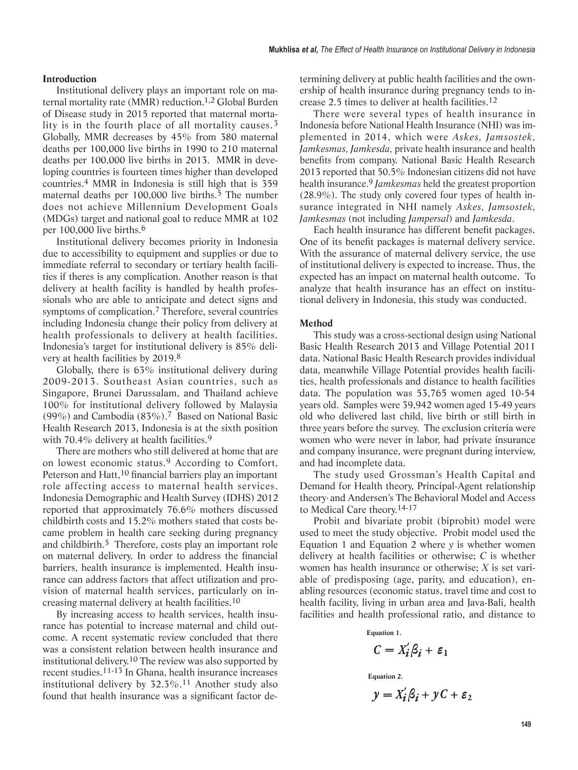### **Introduction**

Institutional delivery plays an important role on maternal mortality rate (MMR) reduction.1,2 Global Burden of Disease study in 2015 reported that maternal mortality is in the fourth place of all mortality causes.<sup>3</sup> Globally, MMR decreases by 45% from 380 maternal deaths per 100,000 live births in 1990 to 210 maternal deaths per 100,000 live births in 2013. MMR in developing countries is fourteen times higher than developed countries. 4 MMR in Indonesia is still high that is 359 maternal deaths per 100,000 live births.<sup>5</sup> The number does not achieve Millennium Development Goals (MDGs) target and national goal to reduce MMR at 102 per 100,000 live births.6

Institutional delivery becomes priority in Indonesia due to accessibility to equipment and supplies or due to immediate referral to secondary or tertiary health facilities if theres is any complication. Another reason is that delivery at health facility is handled by health professionals who are able to anticipate and detect signs and symptoms of complication.<sup>7</sup> Therefore, several countries including Indonesia change their policy from delivery at health professionals to delivery at health facilities. Indonesia's target for institutional delivery is 85% delivery at health facilities by 2019.8

Globally, there is 63% institutional delivery during 2009-2013. Southeast Asian countries, such as Singapore, Brunei Darussalam, and Thailand achieve 100% for institutional delivery followed by Malaysia (99%) and Cambodia (83%).7 Based on National Basic Health Research 2013, Indonesia is at the sixth position with 70.4% delivery at health facilities.<sup>9</sup>

There are mothers who still delivered at home that are on lowest economic status.9 According to Comfort, Peterson and Hatt,<sup>10</sup> financial barriers play an important role affecting access to maternal health services. Indonesia Demographic and Health Survey (IDHS) 2012 reported that approximately 76.6% mothers discussed childbirth costs and 15.2% mothers stated that costs became problem in health care seeking during pregnancy and childbirth.5 Therefore, costs play an important role on maternal delivery. In order to address the financial barriers, health insurance is implemented. Health insurance can address factors that affect utilization and provision of maternal health services, particularly on increasing maternal delivery at health facilities.10

By increasing access to health services, health insurance has potential to increase maternal and child outcome. A recent systematic review concluded that there was a consistent relation between health insurance and institutional delivery.10 The review was also supported by recent studies.11-13 In Ghana, health insurance increases institutional delivery by 32.3%. 11 Another study also found that health insurance was a significant factor de-

termining delivery at public health facilities and the ownership of health insurance during pregnancy tends to increase 2.5 times to deliver at health facilities.12

There were several types of health insurance in Indonesia before National Health Insurance (NHI) was implemented in 2014, which were *Askes, Jamsostek, Jamkesmas, Jamkesda,* private health insurance and health benefits from company. National Basic Health Research 2013 reported that 50.5% Indonesian citizens did not have health insurance.9 *Jamkesmas* held the greatest proportion (28.9%). The study only covered four types of health insurance integrated in NHI namely *Askes, Jamsostek, Jamkesmas* (not including *Jampersal*) and *Jamkesda*.

Each health insurance has different benefit packages. One of its benefit packages is maternal delivery service. With the assurance of maternal delivery service, the use of institutional delivery is expected to increase. Thus, the expected has an impact on maternal health outcome. To analyze that health insurance has an effect on institutional delivery in Indonesia, this study was conducted.

#### **Method**

This study was a cross-sectional design using National Basic Health Research 2013 and Village Potential 2011 data. National Basic Health Research provides individual data, meanwhile Village Potential provides health facilities, health professionals and distance to health facilities data. The population was 53,765 women aged 10-54 years old. Samples were 39,942 women aged 15-49 years old who delivered last child, live birth or still birth in three years before the survey. The exclusion criteria were women who were never in labor, had private insurance and company insurance, were pregnant during interview, and had incomplete data.

The study used Grossman's Health Capital and Demand for Health theory, Principal-Agent relationship theory, and Andersen's The Behavioral Model and Access to Medical Care theory.14-17

Probit and bivariate probit (biprobit) model were used to meet the study objective. Probit model used the Equation 1 and Equation 2 where *y* is whether women delivery at health facilities or otherwise; *C* is whether women has health insurance or otherwise; *X* is set variable of predisposing (age, parity, and education), enabling resources (economic status, travel time and cost to health facility, living in urban area and Java-Bali, health facilities and health professional ratio, and distance to

**Equation 1.**

$$
C=X_i'\beta_i+\varepsilon_1
$$

**Equation 2.**

$$
y = X_i' \beta_i + yC + \varepsilon_2
$$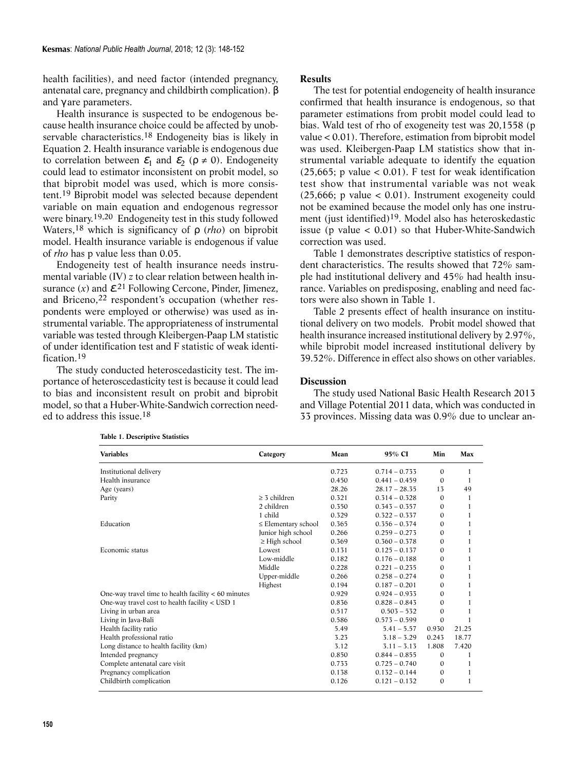health facilities), and need factor (intended pregnancy, antenatal care, pregnancy and childbirth complication). β and γ are parameters.

Health insurance is suspected to be endogenous because health insurance choice could be affected by unobservable characteristics.18 Endogeneity bias is likely in Equation 2. Health insurance variable is endogenous due to correlation between  $\mathcal{E}_1$  and  $\mathcal{E}_2$  ( $\rho \neq 0$ ). Endogeneity could lead to estimator inconsistent on probit model, so that biprobit model was used, which is more consistent.19 Biprobit model was selected because dependent variable on main equation and endogenous regressor were binary.19,20 Endogeneity test in this study followed Waters,18 which is significancy of ρ (*rho*) on biprobit model. Health insurance variable is endogenous if value of *rho* has p value less than 0.05.

Endogeneity test of health insurance needs instrumental variable (IV) *z* to clear relation between health insurance  $(x)$  and  $\mathcal{E}^{21}$  Following Cercone, Pinder, Jimenez, and Briceno,22 respondent's occupation (whether respondents were employed or otherwise) was used as instrumental variable. The appropriateness of instrumental variable was tested through Kleibergen-Paap LM statistic of under identification test and F statistic of weak identification 19

The study conducted heteroscedasticity test. The importance of heteroscedasticity test is because it could lead to bias and inconsistent result on probit and biprobit model, so that a Huber-White-Sandwich correction needed to address this issue.18

# **Results**

The test for potential endogeneity of health insurance confirmed that health insurance is endogenous, so that parameter estimations from probit model could lead to bias. Wald test of rho of exogeneity test was 20,1558 (p value < 0.01). Therefore, estimation from biprobit model was used. Kleibergen-Paap LM statistics show that instrumental variable adequate to identify the equation  $(25,665; \, p \text{ value} < 0.01)$ . F test for weak identification test show that instrumental variable was not weak  $(25,666; \text{ p value} < 0.01)$ . Instrument exogeneity could not be examined because the model only has one instrument (just identified)19. Model also has heteroskedastic issue (p value  $< 0.01$ ) so that Huber-White-Sandwich correction was used.

Table 1 demonstrates descriptive statistics of respondent characteristics. The results showed that 72% sample had institutional delivery and 45% had health insurance. Variables on predisposing, enabling and need factors were also shown in Table 1.

Table 2 presents effect of health insurance on institutional delivery on two models. Probit model showed that health insurance increased institutional delivery by 2.97%, while biprobit model increased institutional delivery by 39.52%. Difference in effect also shows on other variables.

# **Discussion**

The study used National Basic Health Research 2013 and Village Potential 2011 data, which was conducted in 33 provinces. Missing data was 0.9% due to unclear an-

| <b>Variables</b>                                      | Category                 | Mean  | 95% CI          | Min          | Max   |
|-------------------------------------------------------|--------------------------|-------|-----------------|--------------|-------|
| Institutional delivery                                |                          | 0.723 | $0.714 - 0.733$ | $\Omega$     | 1     |
| Health insurance                                      |                          | 0.450 | $0.441 - 0.459$ | 0            | 1     |
| Age (years)                                           |                          | 28.26 | $28.17 - 28.35$ | 13           | 49    |
| Parity                                                | $>$ 3 children           | 0.321 | $0.314 - 0.328$ | $\Omega$     | 1     |
|                                                       | 2 children               | 0.350 | $0.343 - 0.357$ | 0            | 1     |
|                                                       | 1 child                  | 0.329 | $0.322 - 0.337$ | $\Omega$     | 1     |
| Education                                             | $\leq$ Elementary school | 0.365 | $0.356 - 0.374$ | $\Omega$     | 1     |
|                                                       | Junior high school       | 0.266 | $0.259 - 0.273$ | $\Omega$     | 1     |
|                                                       | $\geq$ High school       | 0.369 | $0.360 - 0.378$ | $\Omega$     | 1     |
| Economic status                                       | Lowest                   | 0.131 | $0.125 - 0.137$ | $\Omega$     | 1     |
|                                                       | Low-middle               | 0.182 | $0.176 - 0.188$ | $\Omega$     | 1     |
|                                                       | Middle                   | 0.228 | $0.221 - 0.235$ | $\Omega$     | 1     |
|                                                       | Upper-middle             | 0.266 | $0.258 - 0.274$ | $\Omega$     | 1     |
|                                                       | Highest                  | 0.194 | $0.187 - 0.201$ | $\Omega$     | 1     |
| One-way travel time to health facility $< 60$ minutes |                          | 0.929 | $0.924 - 0.933$ | $\mathbf{0}$ | 1     |
| One-way travel cost to health facility < USD 1        |                          | 0.836 | $0.828 - 0.843$ | $\Omega$     | 1     |
| Living in urban area                                  |                          | 0.517 | $0.503 - 532$   | $\Omega$     | 1     |
| Living in Java-Bali                                   |                          | 0.586 | $0.573 - 0.599$ | $\Omega$     | 1     |
| Health facility ratio                                 |                          | 5.49  | $5.41 - 5.57$   | 0.930        | 21.25 |
| Health professional ratio                             |                          | 3.23  | $3.18 - 3.29$   | 0.243        | 18.77 |
| Long distance to health facility (km)                 |                          | 3.12  | $3.11 - 3.13$   | 1.808        | 7.420 |
| Intended pregnancy                                    |                          | 0.850 | $0.844 - 0.855$ | $\Omega$     | 1     |
| Complete antenatal care visit                         |                          | 0.733 | $0.725 - 0.740$ | $\Omega$     | 1     |
| Pregnancy complication                                |                          | 0.138 | $0.132 - 0.144$ | $\Omega$     | 1     |
| Childbirth complication                               |                          | 0.126 | $0.121 - 0.132$ | $\Omega$     | 1     |

**Table 1. Descriptive Statistics**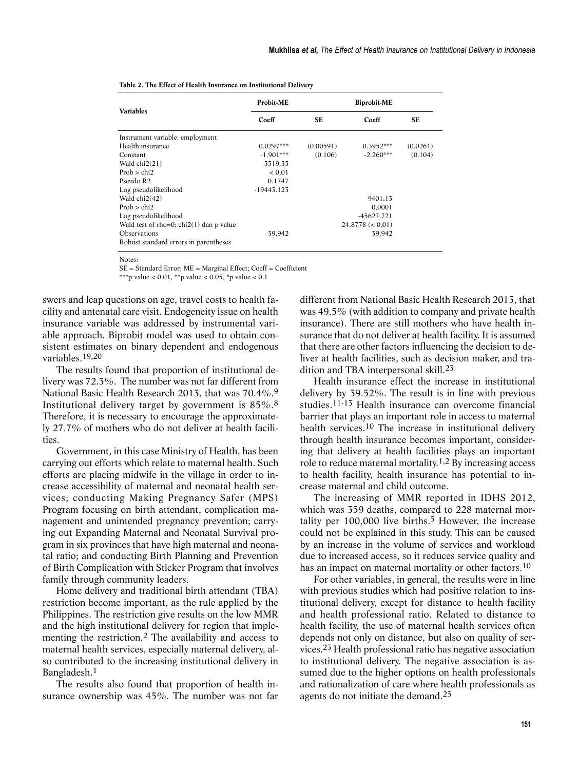| <b>Variables</b>                          | Probit-ME    | <b>Biprobit-ME</b> |                  |          |  |
|-------------------------------------------|--------------|--------------------|------------------|----------|--|
|                                           | Coeff        | <b>SE</b>          | Coeff            | SE       |  |
| Instrument variable: employment           |              |                    |                  |          |  |
| Health insurance                          | $0.0297***$  | (0.00591)          | $0.3952***$      | (0.0261) |  |
| Constant                                  | $-1.901***$  | (0.106)            | $-2.260***$      | (0.104)  |  |
| Wald $chi2(21)$                           | 3519.35      |                    |                  |          |  |
| Prob $>$ chi2                             | < 0.01       |                    |                  |          |  |
| Pseudo R <sub>2</sub>                     | 0.1747       |                    |                  |          |  |
| Log pseudolikelihood                      | $-19443.123$ |                    |                  |          |  |
| Wald chi2(42)                             |              |                    | 9401.13          |          |  |
| Prob $>$ chi2                             |              |                    | 0,0001           |          |  |
| Log pseudolikelihood                      |              |                    | -45627.721       |          |  |
| Wald test of rho=0: $chi2(1)$ dan p value |              |                    | 24.8778 (< 0.01) |          |  |
| Observations                              | 39,942       |                    | 39,942           |          |  |
| Robust standard errors in parentheses     |              |                    |                  |          |  |

| Table 2. The Effect of Health Insurance on Institutional Delivery |
|-------------------------------------------------------------------|
|-------------------------------------------------------------------|

Notes:

SE = Standard Error; ME = Marginal Effect; Coeff = Coefficient \*\*\*p value <  $0.01$ , \*\*p value <  $0.05$ , \*p value <  $0.1$ 

swers and leap questions on age, travel costs to health facility and antenatal care visit. Endogeneity issue on health insurance variable was addressed by instrumental variable approach. Biprobit model was used to obtain consistent estimates on binary dependent and endogenous variables.19,20

The results found that proportion of institutional delivery was 72.3%. The number was not far different from National Basic Health Research 2013, that was 70.4%.9 Institutional delivery target by government is 85%.8 Therefore, it is necessary to encourage the approximately 27.7% of mothers who do not deliver at health facilities.

Government, in this case Ministry of Health, has been carrying out efforts which relate to maternal health. Such efforts are placing midwife in the village in order to increase accessibility of maternal and neonatal health services; conducting Making Pregnancy Safer (MPS) Program focusing on birth attendant, complication management and unintended pregnancy prevention; carrying out Expanding Maternal and Neonatal Survival program in six provinces that have high maternal and neonatal ratio; and conducting Birth Planning and Prevention of Birth Complication with Sticker Program that involves family through community leaders.

Home delivery and traditional birth attendant (TBA) restriction become important, as the rule applied by the Philippines. The restriction give results on the low MMR and the high institutional delivery for region that implementing the restriction.2 The availability and access to maternal health services, especially maternal delivery, also contributed to the increasing institutional delivery in Bangladesh.1

The results also found that proportion of health insurance ownership was 45%. The number was not far

different from National Basic Health Research 2013, that was 49.5% (with addition to company and private health insurance). There are still mothers who have health insurance that do not deliver at health facility. It is assumed that there are other factors influencing the decision to deliver at health facilities, such as decision maker, and tradition and TBA interpersonal skill.23

Health insurance effect the increase in institutional delivery by 39.52%. The result is in line with previous studies.11-13 Health insurance can overcome financial barrier that plays an important role in access to maternal health services.10 The increase in institutional delivery through health insurance becomes important, considering that delivery at health facilities plays an important role to reduce maternal mortality.1,2 By increasing access to health facility, health insurance has potential to increase maternal and child outcome.

The increasing of MMR reported in IDHS 2012, which was 359 deaths, compared to 228 maternal mortality per 100,000 live births.5 However, the increase could not be explained in this study. This can be caused by an increase in the volume of services and workload due to increased access, so it reduces service quality and has an impact on maternal mortality or other factors.<sup>10</sup>

For other variables, in general, the results were in line with previous studies which had positive relation to institutional delivery, except for distance to health facility and health professional ratio. Related to distance to health facility, the use of maternal health services often depends not only on distance, but also on quality of services.23 Health professional ratio has negative association to institutional delivery. The negative association is assumed due to the higher options on health professionals and rationalization of care where health professionals as agents do not initiate the demand.25